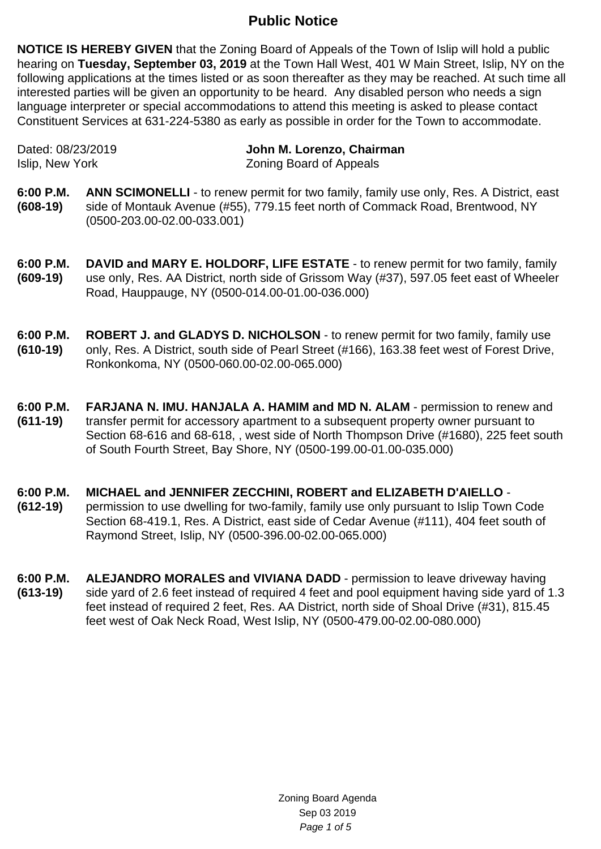## **Public Notice**

**NOTICE IS HEREBY GIVEN** that the Zoning Board of Appeals of the Town of Islip will hold a public hearing on **Tuesday, September 03, 2019** at the Town Hall West, 401 W Main Street, Islip, NY on the following applications at the times listed or as soon thereafter as they may be reached. At such time all interested parties will be given an opportunity to be heard. Any disabled person who needs a sign language interpreter or special accommodations to attend this meeting is asked to please contact Constituent Services at 631-224-5380 as early as possible in order for the Town to accommodate.

Dated: 08/23/2019 **John M. Lorenzo, Chairman** Islip, New York **Zoning Board of Appeals** 

- **6:00 P.M. (608-19) ANN SCIMONELLI** - to renew permit for two family, family use only, Res. A District, east side of Montauk Avenue (#55), 779.15 feet north of Commack Road, Brentwood, NY (0500-203.00-02.00-033.001)
- **6:00 P.M. (609-19) DAVID and MARY E. HOLDORF, LIFE ESTATE** - to renew permit for two family, family use only, Res. AA District, north side of Grissom Way (#37), 597.05 feet east of Wheeler Road, Hauppauge, NY (0500-014.00-01.00-036.000)
- **6:00 P.M. (610-19) ROBERT J. and GLADYS D. NICHOLSON** - to renew permit for two family, family use only, Res. A District, south side of Pearl Street (#166), 163.38 feet west of Forest Drive, Ronkonkoma, NY (0500-060.00-02.00-065.000)
- **6:00 P.M. (611-19) FARJANA N. IMU. HANJALA A. HAMIM and MD N. ALAM** - permission to renew and transfer permit for accessory apartment to a subsequent property owner pursuant to Section 68-616 and 68-618, , west side of North Thompson Drive (#1680), 225 feet south of South Fourth Street, Bay Shore, NY (0500-199.00-01.00-035.000)
- **6:00 P.M. MICHAEL and JENNIFER ZECCHINI, ROBERT and ELIZABETH D'AIELLO** -
- **(612-19)** permission to use dwelling for two-family, family use only pursuant to Islip Town Code Section 68-419.1, Res. A District, east side of Cedar Avenue (#111), 404 feet south of Raymond Street, Islip, NY (0500-396.00-02.00-065.000)
- **6:00 P.M. (613-19) ALEJANDRO MORALES and VIVIANA DADD** - permission to leave driveway having side vard of 2.6 feet instead of required 4 feet and pool equipment having side vard of 1.3 feet instead of required 2 feet, Res. AA District, north side of Shoal Drive (#31), 815.45 feet west of Oak Neck Road, West Islip, NY (0500-479.00-02.00-080.000)

Zoning Board Agenda Sep 03 2019 Page 1 of 5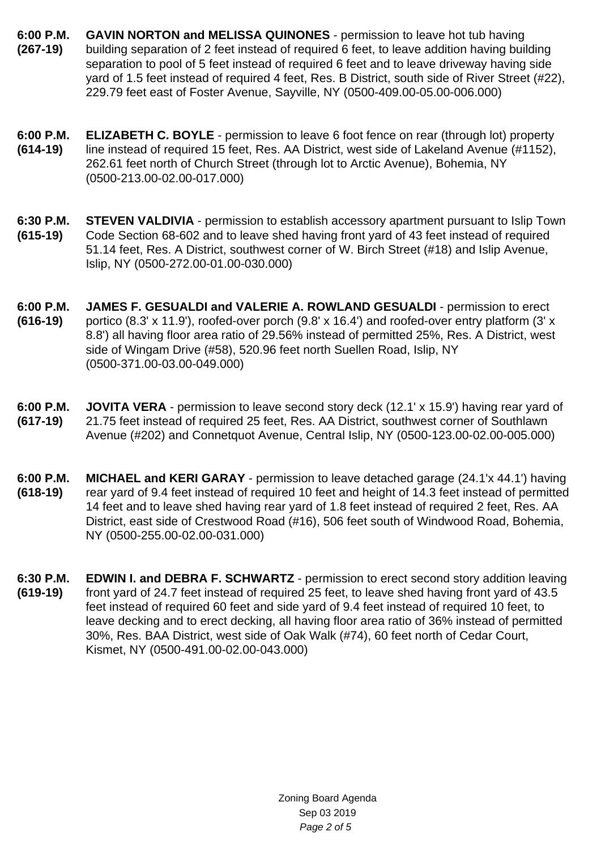- **6:00 P.M. (267-19) GAVIN NORTON and MELISSA QUINONES** - permission to leave hot tub having building separation of 2 feet instead of required 6 feet, to leave addition having building separation to pool of 5 feet instead of required 6 feet and to leave driveway having side yard of 1.5 feet instead of required 4 feet, Res. B District, south side of River Street (#22), 229.79 feet east of Foster Avenue, Sayville, NY (0500-409.00-05.00-006.000)
- **6:00 P.M. (614-19) ELIZABETH C. BOYLE** - permission to leave 6 foot fence on rear (through lot) property line instead of required 15 feet, Res. AA District, west side of Lakeland Avenue (#1152), 262.61 feet north of Church Street (through lot to Arctic Avenue), Bohemia, NY (0500-213.00-02.00-017.000)
- **6:30 P.M. (615-19) STEVEN VALDIVIA** - permission to establish accessory apartment pursuant to Islip Town Code Section 68-602 and to leave shed having front yard of 43 feet instead of required 51.14 feet, Res. A District, southwest corner of W. Birch Street (#18) and Islip Avenue, Islip, NY (0500-272.00-01.00-030.000)
- **6:00 P.M. (616-19) JAMES F. GESUALDI and VALERIE A. ROWLAND GESUALDI** - permission to erect portico (8.3' x 11.9'), roofed-over porch (9.8' x 16.4') and roofed-over entry platform (3' x 8.8') all having floor area ratio of 29.56% instead of permitted 25%, Res. A District, west side of Wingam Drive (#58), 520.96 feet north Suellen Road, Islip, NY (0500-371.00-03.00-049.000)
- **6:00 P.M. (617-19) JOVITA VERA** - permission to leave second story deck (12.1' x 15.9') having rear yard of 21.75 feet instead of required 25 feet, Res. AA District, southwest corner of Southlawn Avenue (#202) and Connetquot Avenue, Central Islip, NY (0500-123.00-02.00-005.000)
- **6:00 P.M. (618-19) MICHAEL and KERI GARAY** - permission to leave detached garage (24.1'x 44.1') having rear yard of 9.4 feet instead of required 10 feet and height of 14.3 feet instead of permitted 14 feet and to leave shed having rear yard of 1.8 feet instead of required 2 feet, Res. AA District, east side of Crestwood Road (#16), 506 feet south of Windwood Road, Bohemia, NY (0500-255.00-02.00-031.000)
- **6:30 P.M. (619-19) EDWIN I. and DEBRA F. SCHWARTZ** - permission to erect second story addition leaving front yard of 24.7 feet instead of required 25 feet, to leave shed having front yard of 43.5 feet instead of required 60 feet and side yard of 9.4 feet instead of required 10 feet, to leave decking and to erect decking, all having floor area ratio of 36% instead of permitted 30%, Res. BAA District, west side of Oak Walk (#74), 60 feet north of Cedar Court, Kismet, NY (0500-491.00-02.00-043.000)

Zoning Board Agenda Sep 03 2019 Page 2 of 5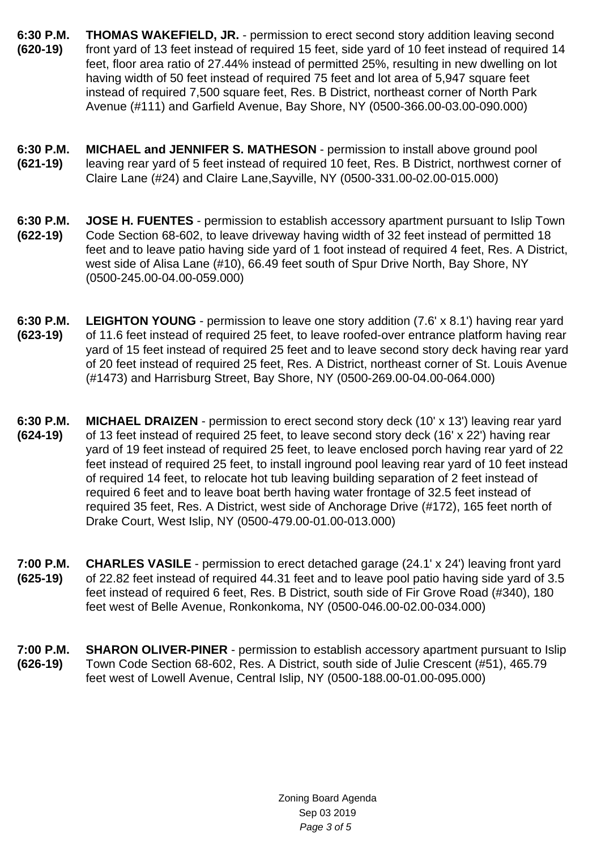- **6:30 P.M. (620-19) THOMAS WAKEFIELD, JR.** - permission to erect second story addition leaving second front yard of 13 feet instead of required 15 feet, side yard of 10 feet instead of required 14 feet, floor area ratio of 27.44% instead of permitted 25%, resulting in new dwelling on lot having width of 50 feet instead of required 75 feet and lot area of 5,947 square feet instead of required 7,500 square feet, Res. B District, northeast corner of North Park Avenue (#111) and Garfield Avenue, Bay Shore, NY (0500-366.00-03.00-090.000)
- **6:30 P.M. (621-19) MICHAEL and JENNIFER S. MATHESON** - permission to install above ground pool leaving rear yard of 5 feet instead of required 10 feet, Res. B District, northwest corner of Claire Lane (#24) and Claire Lane,Sayville, NY (0500-331.00-02.00-015.000)
- **6:30 P.M. (622-19) JOSE H. FUENTES** - permission to establish accessory apartment pursuant to Islip Town Code Section 68-602, to leave driveway having width of 32 feet instead of permitted 18 feet and to leave patio having side yard of 1 foot instead of required 4 feet, Res. A District, west side of Alisa Lane (#10), 66.49 feet south of Spur Drive North, Bay Shore, NY (0500-245.00-04.00-059.000)
- **6:30 P.M. (623-19) LEIGHTON YOUNG** - permission to leave one story addition (7.6' x 8.1') having rear yard of 11.6 feet instead of required 25 feet, to leave roofed-over entrance platform having rear yard of 15 feet instead of required 25 feet and to leave second story deck having rear yard of 20 feet instead of required 25 feet, Res. A District, northeast corner of St. Louis Avenue (#1473) and Harrisburg Street, Bay Shore, NY (0500-269.00-04.00-064.000)
- **6:30 P.M. (624-19) MICHAEL DRAIZEN** - permission to erect second story deck (10' x 13') leaving rear yard of 13 feet instead of required 25 feet, to leave second story deck (16' x 22') having rear yard of 19 feet instead of required 25 feet, to leave enclosed porch having rear yard of 22 feet instead of required 25 feet, to install inground pool leaving rear yard of 10 feet instead of required 14 feet, to relocate hot tub leaving building separation of 2 feet instead of required 6 feet and to leave boat berth having water frontage of 32.5 feet instead of required 35 feet, Res. A District, west side of Anchorage Drive (#172), 165 feet north of Drake Court, West Islip, NY (0500-479.00-01.00-013.000)
- **7:00 P.M. (625-19) CHARLES VASILE** - permission to erect detached garage (24.1' x 24') leaving front yard of 22.82 feet instead of required 44.31 feet and to leave pool patio having side yard of 3.5 feet instead of required 6 feet, Res. B District, south side of Fir Grove Road (#340), 180 feet west of Belle Avenue, Ronkonkoma, NY (0500-046.00-02.00-034.000)
- **7:00 P.M. (626-19) SHARON OLIVER-PINER** - permission to establish accessory apartment pursuant to Islip Town Code Section 68-602, Res. A District, south side of Julie Crescent (#51), 465.79 feet west of Lowell Avenue, Central Islip, NY (0500-188.00-01.00-095.000)

Zoning Board Agenda Sep 03 2019 Page 3 of 5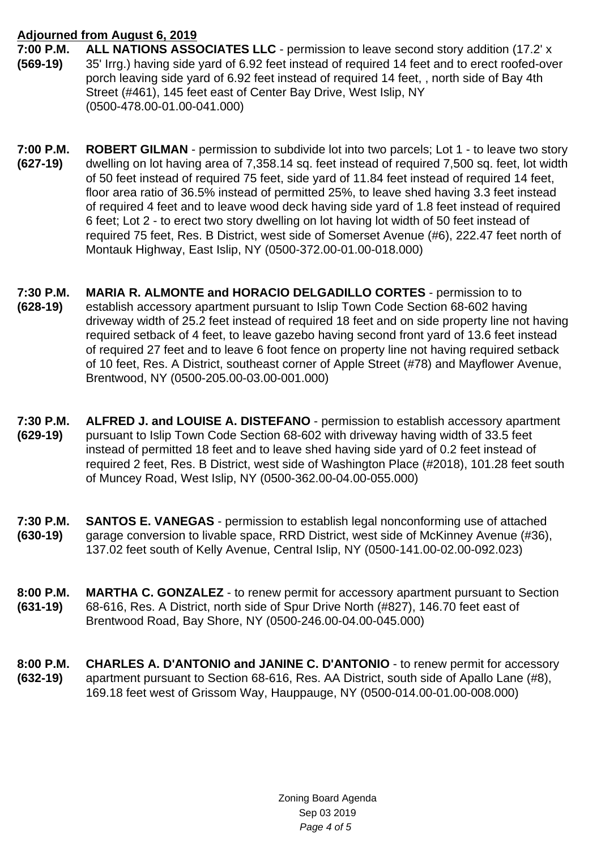## **Adjourned from August 6, 2019**

- **7:00 P.M. (569-19) ALL NATIONS ASSOCIATES LLC** - permission to leave second story addition (17.2' x 35' Irrg.) having side yard of 6.92 feet instead of required 14 feet and to erect roofed-over porch leaving side yard of 6.92 feet instead of required 14 feet, , north side of Bay 4th Street (#461), 145 feet east of Center Bay Drive, West Islip, NY (0500-478.00-01.00-041.000)
- **7:00 P.M. (627-19) ROBERT GILMAN** - permission to subdivide lot into two parcels; Lot 1 - to leave two story dwelling on lot having area of 7,358.14 sq. feet instead of required 7,500 sq. feet, lot width of 50 feet instead of required 75 feet, side yard of 11.84 feet instead of required 14 feet, floor area ratio of 36.5% instead of permitted 25%, to leave shed having 3.3 feet instead of required 4 feet and to leave wood deck having side yard of 1.8 feet instead of required 6 feet; Lot 2 - to erect two story dwelling on lot having lot width of 50 feet instead of required 75 feet, Res. B District, west side of Somerset Avenue (#6), 222.47 feet north of Montauk Highway, East Islip, NY (0500-372.00-01.00-018.000)
- **7:30 P.M. (628-19) MARIA R. ALMONTE and HORACIO DELGADILLO CORTES** - permission to to establish accessory apartment pursuant to Islip Town Code Section 68-602 having driveway width of 25.2 feet instead of required 18 feet and on side property line not having required setback of 4 feet, to leave gazebo having second front yard of 13.6 feet instead of required 27 feet and to leave 6 foot fence on property line not having required setback of 10 feet, Res. A District, southeast corner of Apple Street (#78) and Mayflower Avenue, Brentwood, NY (0500-205.00-03.00-001.000)
- **7:30 P.M. (629-19) ALFRED J. and LOUISE A. DISTEFANO** - permission to establish accessory apartment pursuant to Islip Town Code Section 68-602 with driveway having width of 33.5 feet instead of permitted 18 feet and to leave shed having side yard of 0.2 feet instead of required 2 feet, Res. B District, west side of Washington Place (#2018), 101.28 feet south of Muncey Road, West Islip, NY (0500-362.00-04.00-055.000)
- **7:30 P.M. (630-19) SANTOS E. VANEGAS** - permission to establish legal nonconforming use of attached garage conversion to livable space, RRD District, west side of McKinney Avenue (#36), 137.02 feet south of Kelly Avenue, Central Islip, NY (0500-141.00-02.00-092.023)
- **8:00 P.M. (631-19) MARTHA C. GONZALEZ** - to renew permit for accessory apartment pursuant to Section 68-616, Res. A District, north side of Spur Drive North (#827), 146.70 feet east of Brentwood Road, Bay Shore, NY (0500-246.00-04.00-045.000)
- **8:00 P.M. (632-19) CHARLES A. D'ANTONIO and JANINE C. D'ANTONIO** - to renew permit for accessory apartment pursuant to Section 68-616, Res. AA District, south side of Apallo Lane (#8), 169.18 feet west of Grissom Way, Hauppauge, NY (0500-014.00-01.00-008.000)

Zoning Board Agenda Sep 03 2019 Page 4 of 5